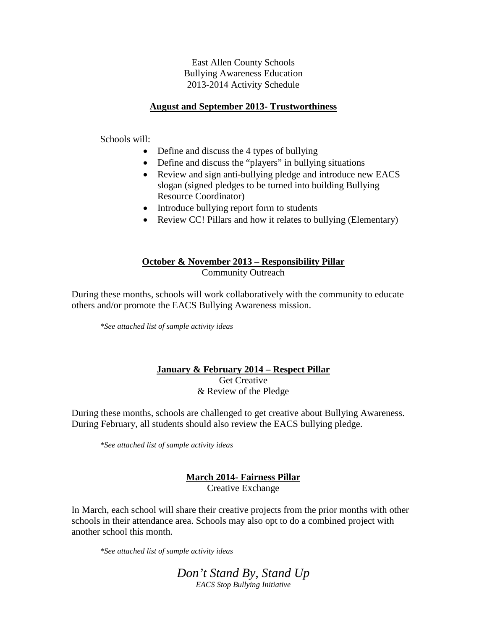East Allen County Schools Bullying Awareness Education 2013-2014 Activity Schedule

#### **August and September 2013- Trustworthiness**

Schools will:

- Define and discuss the 4 types of bullying
- Define and discuss the "players" in bullying situations
- Review and sign anti-bullying pledge and introduce new EACS slogan (signed pledges to be turned into building Bullying Resource Coordinator)
- Introduce bullying report form to students
- Review CC! Pillars and how it relates to bullying (Elementary)

### **October & November 2013 – Responsibility Pillar** Community Outreach

During these months, schools will work collaboratively with the community to educate others and/or promote the EACS Bullying Awareness mission.

*\*See attached list of sample activity ideas*

# **January & February 2014 – Respect Pillar**

Get Creative & Review of the Pledge

During these months, schools are challenged to get creative about Bullying Awareness. During February, all students should also review the EACS bullying pledge.

*\*See attached list of sample activity ideas*

# **March 2014- Fairness Pillar** Creative Exchange

In March, each school will share their creative projects from the prior months with other schools in their attendance area. Schools may also opt to do a combined project with another school this month.

*\*See attached list of sample activity ideas*

*Don't Stand By, Stand Up EACS Stop Bullying Initiative*